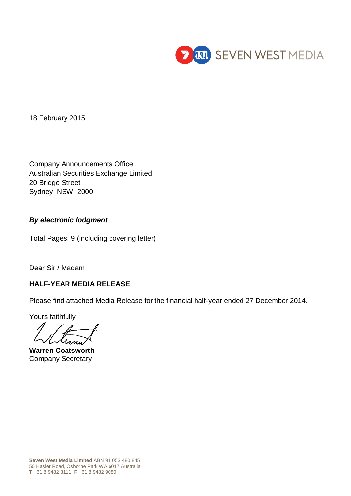

18 February 2015

Company Announcements Office Australian Securities Exchange Limited 20 Bridge Street Sydney NSW 2000

# *By electronic lodgment*

Total Pages: 9 (including covering letter)

Dear Sir / Madam

# **HALF-YEAR MEDIA RELEASE**

Please find attached Media Release for the financial half-year ended 27 December 2014.

Yours faithfully

**Warren Coatsworth** Company Secretary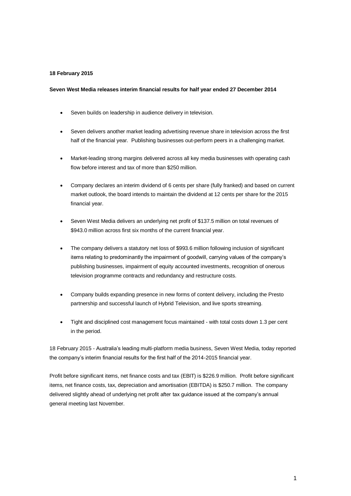# **18 February 2015**

## **Seven West Media releases interim financial results for half year ended 27 December 2014**

- Seven builds on leadership in audience delivery in television.
- Seven delivers another market leading advertising revenue share in television across the first half of the financial year. Publishing businesses out-perform peers in a challenging market.
- Market-leading strong margins delivered across all key media businesses with operating cash flow before interest and tax of more than \$250 million.
- Company declares an interim dividend of 6 cents per share (fully franked) and based on current market outlook, the board intends to maintain the dividend at 12 cents per share for the 2015 financial year.
- Seven West Media delivers an underlying net profit of \$137.5 million on total revenues of \$943.0 million across first six months of the current financial year.
- The company delivers a statutory net loss of \$993.6 million following inclusion of significant items relating to predominantly the impairment of goodwill, carrying values of the company's publishing businesses, impairment of equity accounted investments, recognition of onerous television programme contracts and redundancy and restructure costs.
- Company builds expanding presence in new forms of content delivery, including the Presto partnership and successful launch of Hybrid Television, and live sports streaming.
- Tight and disciplined cost management focus maintained with total costs down 1.3 per cent in the period.

18 February 2015 - Australia's leading multi-platform media business, Seven West Media, today reported the company's interim financial results for the first half of the 2014-2015 financial year.

Profit before significant items, net finance costs and tax (EBIT) is \$226.9 million. Profit before significant items, net finance costs, tax, depreciation and amortisation (EBITDA) is \$250.7 million. The company delivered slightly ahead of underlying net profit after tax guidance issued at the company's annual general meeting last November.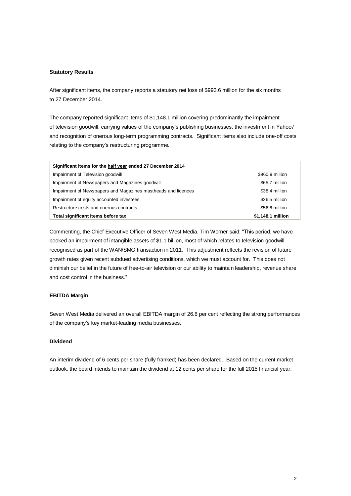## **Statutory Results**

After significant items, the company reports a statutory net loss of \$993.6 million for the six months to 27 December 2014.

The company reported significant items of \$1,148.1 million covering predominantly the impairment of television goodwill, carrying values of the company's publishing businesses, the investment in Yahoo7 and recognition of onerous long-term programming contracts. Significant items also include one-off costs relating to the company's restructuring programme.

| Significant items for the half year ended 27 December 2014    |                   |
|---------------------------------------------------------------|-------------------|
| Impairment of Television goodwill                             | \$960.9 million   |
| Impairment of Newspapers and Magazines goodwill               | \$65.7 million    |
| Impairment of Newspapers and Magazines mastheads and licences | \$38.4 million    |
| Impairment of equity accounted investees                      | \$26.5 million    |
| Restructure costs and onerous contracts                       | \$56.6 million    |
| Total significant items before tax                            | \$1,148.1 million |

Commenting, the Chief Executive Officer of Seven West Media, Tim Worner said: "This period, we have booked an impairment of intangible assets of \$1.1 billion, most of which relates to television goodwill recognised as part of the WAN/SMG transaction in 2011. This adjustment reflects the revision of future growth rates given recent subdued advertising conditions, which we must account for. This does not diminish our belief in the future of free-to-air television or our ability to maintain leadership, revenue share and cost control in the business."

### **EBITDA Margin**

Seven West Media delivered an overall EBITDA margin of 26.6 per cent reflecting the strong performances of the company's key market-leading media businesses.

# **Dividend**

An interim dividend of 6 cents per share (fully franked) has been declared. Based on the current market outlook, the board intends to maintain the dividend at 12 cents per share for the full 2015 financial year.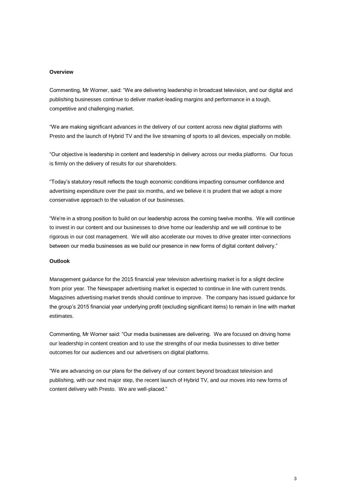#### **Overview**

Commenting, Mr Worner, said: "We are delivering leadership in broadcast television, and our digital and publishing businesses continue to deliver market-leading margins and performance in a tough, competitive and challenging market.

"We are making significant advances in the delivery of our content across new digital platforms with Presto and the launch of Hybrid TV and the live streaming of sports to all devices, especially on mobile.

"Our objective is leadership in content and leadership in delivery across our media platforms. Our focus is firmly on the delivery of results for our shareholders.

"Today's statutory result reflects the tough economic conditions impacting consumer confidence and advertising expenditure over the past six months, and we believe it is prudent that we adopt a more conservative approach to the valuation of our businesses.

"We're in a strong position to build on our leadership across the coming twelve months. We will continue to invest in our content and our businesses to drive home our leadership and we will continue to be rigorous in our cost management. We will also accelerate our moves to drive greater inter-connections between our media businesses as we build our presence in new forms of digital content delivery."

## **Outlook**

Management guidance for the 2015 financial year television advertising market is for a slight decline from prior year. The Newspaper advertising market is expected to continue in line with current trends. Magazines advertising market trends should continue to improve. The company has issued guidance for the group's 2015 financial year underlying profit (excluding significant items) to remain in line with market estimates.

Commenting, Mr Worner said: "Our media businesses are delivering. We are focused on driving home our leadership in content creation and to use the strengths of our media businesses to drive better outcomes for our audiences and our advertisers on digital platforms.

"We are advancing on our plans for the delivery of our content beyond broadcast television and publishing, with our next major step, the recent launch of Hybrid TV, and our moves into new forms of content delivery with Presto. We are well-placed."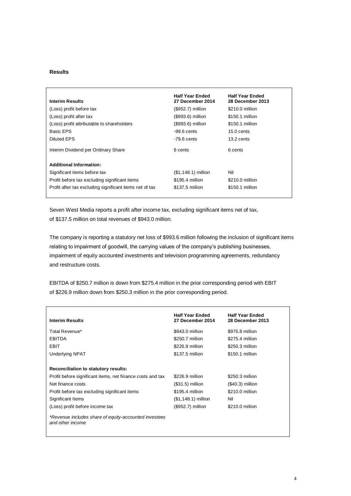## **Results**

|                                                         | <b>Half Year Ended</b> | <b>Half Year Ended</b> |
|---------------------------------------------------------|------------------------|------------------------|
| <b>Interim Results</b>                                  | 27 December 2014       | 28 December 2013       |
| (Loss) profit before tax                                | $($952.7)$ million     | \$210.0 million        |
| (Loss) profit after tax                                 | (\$993.6) million      | \$150.1 million        |
| (Loss) profit attributable to shareholders              | (\$993.6) million      | \$150.1 million        |
| Basic EPS                                               | $-99.6$ cents          | $15.0 \text{ cents}$   |
| Diluted EPS                                             | $-79.6$ cents          | 13.2 cents             |
| Interim Dividend per Ordinary Share                     | 6 cents                | 6 cents                |
| <b>Additional Information:</b>                          |                        |                        |
| Significant items before tax                            | $($1,148.1)$ million   | Nil                    |
| Profit before tax excluding significant items           | \$195.4 million        | \$210.0 million        |
| Profit after tax excluding significant items net of tax | \$137.5 million        | \$150.1 million        |

Seven West Media reports a profit after income tax, excluding significant items net of tax, of \$137.5 million on total revenues of \$943.0 million.

The company is reporting a statutory net loss of \$993.6 million following the inclusion of significant items relating to impairment of goodwill, the carrying values of the company's publishing businesses, impairment of equity accounted investments and television programming agreements, redundancy and restructure costs.

EBITDA of \$250.7 million is down from \$275.4 million in the prior corresponding period with EBIT of \$226.9 million down from \$250.3 million in the prior corresponding period.

| <b>Interim Results</b>                                                    | <b>Half Year Ended</b><br>27 December 2014 | <b>Half Year Ended</b><br>28 December 2013 |
|---------------------------------------------------------------------------|--------------------------------------------|--------------------------------------------|
|                                                                           |                                            |                                            |
| Total Revenue*                                                            | \$943.0 million                            | \$975.8 million                            |
| <b>EBITDA</b>                                                             | \$250.7 million                            | \$275.4 million                            |
| EBIT                                                                      | \$226.9 million                            | \$250.3 million                            |
| <b>Underlying NPAT</b>                                                    | \$137.5 million                            | \$150.1 million                            |
|                                                                           |                                            |                                            |
| Reconciliation to statutory results:                                      |                                            |                                            |
| Profit before significant items, net finance costs and tax                | \$226.9 million                            | \$250.3 million                            |
| Net finance costs                                                         | $($31.5)$ million                          | $($40.3)$ million                          |
| Profit before tax excluding significant items                             | \$195.4 million                            | \$210.0 million                            |
| Significant Items                                                         | $($1,148.1)$ million                       | Nil                                        |
| (Loss) profit before income tax                                           | (\$952.7) million                          | \$210.0 million                            |
| *Revenue includes share of equity-accounted investees<br>and other income |                                            |                                            |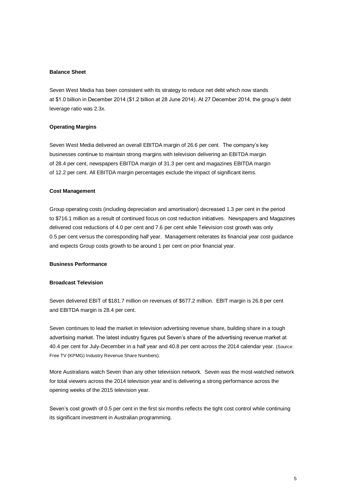### **Balance Sheet**

Seven West Media has been consistent with its strategy to reduce net debt which now stands at \$1.0 billion in December 2014 (\$1.2 billion at 28 June 2014). At 27 December 2014, the group's debt leverage ratio was 2.3x.

# **Operating Margins**

Seven West Media delivered an overall EBITDA margin of 26.6 per cent. The company's key businesses continue to maintain strong margins with television delivering an EBITDA margin of 28.4 per cent, newspapers EBITDA margin of 31.3 per cent and magazines EBITDA margin of 12.2 per cent. All EBITDA margin percentages exclude the impact of significant items.

#### **Cost Management**

Group operating costs (including depreciation and amortisation) decreased 1.3 per cent in the period to \$716.1 million as a result of continued focus on cost reduction initiatives. Newspapers and Magazines delivered cost reductions of 4.0 per cent and 7.6 per cent while Television cost growth was only 0.5 per cent versus the corresponding half year. Management reiterates its financial year cost guidance and expects Group costs growth to be around 1 per cent on prior financial year.

#### **Business Performance**

#### **Broadcast Television**

Seven delivered EBIT of \$181.7 million on revenues of \$677.2 million. EBIT margin is 26.8 per cent and EBITDA margin is 28.4 per cent.

Seven continues to lead the market in television advertising revenue share, building share in a tough advertising market. The latest industry figures put Seven's share of the advertising revenue market at 40.4 per cent for July-December in a half year and 40.8 per cent across the 2014 calendar year. (Source: Free TV (KPMG) Industry Revenue Share Numbers).

More Australians watch Seven than any other television network. Seven was the most-watched network for total viewers across the 2014 television year and is delivering a strong performance across the opening weeks of the 2015 television year.

Seven's cost growth of 0.5 per cent in the first six months reflects the tight cost control while continuing its significant investment in Australian programming.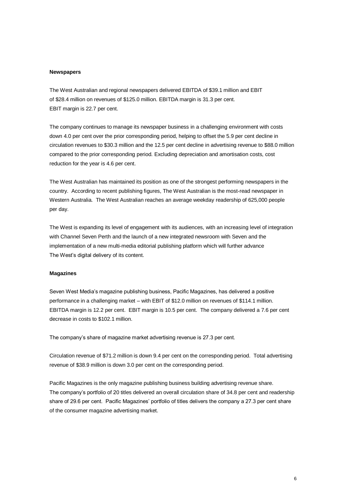#### **Newspapers**

The West Australian and regional newspapers delivered EBITDA of \$39.1 million and EBIT of \$28.4 million on revenues of \$125.0 million. EBITDA margin is 31.3 per cent. EBIT margin is 22.7 per cent.

The company continues to manage its newspaper business in a challenging environment with costs down 4.0 per cent over the prior corresponding period, helping to offset the 5.9 per cent decline in circulation revenues to \$30.3 million and the 12.5 per cent decline in advertising revenue to \$88.0 million compared to the prior corresponding period. Excluding depreciation and amortisation costs, cost reduction for the year is 4.6 per cent.

The West Australian has maintained its position as one of the strongest performing newspapers in the country. According to recent publishing figures, The West Australian is the most-read newspaper in Western Australia. The West Australian reaches an average weekday readership of 625,000 people per day.

The West is expanding its level of engagement with its audiences, with an increasing level of integration with Channel Seven Perth and the launch of a new integrated newsroom with Seven and the implementation of a new multi-media editorial publishing platform which will further advance The West's digital delivery of its content.

## **Magazines**

Seven West Media's magazine publishing business, Pacific Magazines, has delivered a positive performance in a challenging market – with EBIT of \$12.0 million on revenues of \$114.1 million. EBITDA margin is 12.2 per cent. EBIT margin is 10.5 per cent. The company delivered a 7.6 per cent decrease in costs to \$102.1 million.

The company's share of magazine market advertising revenue is 27.3 per cent.

Circulation revenue of \$71.2 million is down 9.4 per cent on the corresponding period. Total advertising revenue of \$38.9 million is down 3.0 per cent on the corresponding period.

Pacific Magazines is the only magazine publishing business building advertising revenue share. The company's portfolio of 20 titles delivered an overall circulation share of 34.8 per cent and readership share of 29.6 per cent. Pacific Magazines' portfolio of titles delivers the company a 27.3 per cent share of the consumer magazine advertising market.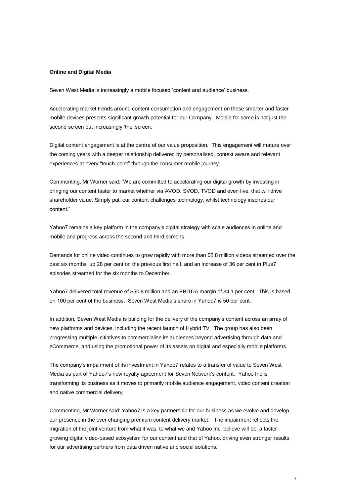#### **Online and Digital Media**

Seven West Media is increasingly a mobile focused 'content and audience' business.

Accelerating market trends around content consumption and engagement on these smarter and faster mobile devices presents significant growth potential for our Company. Mobile for some is not just the second screen but increasingly 'the' screen.

Digital content engagement is at the centre of our value proposition. This engagement will mature over the coming years with a deeper relationship delivered by personalised, context aware and relevant experiences at every "touch-point" through the consumer mobile journey.

Commenting, Mr Worner said: "We are committed to accelerating our digital growth by investing in bringing our content faster to market whether via AVOD, SVOD, TVOD and even live, that will drive shareholder value. Simply put, our content challenges technology, whilst technology inspires our content."

Yahoo7 remains a key platform in the company's digital strategy with scale audiences in online and mobile and progress across the second and third screens.

Demands for online video continues to grow rapidly with more than 62.8 million videos streamed over the past six months, up 28 per cent on the previous first half, and an increase of 36 per cent in Plus7 episodes streamed for the six months to December.

Yahoo7 delivered total revenue of \$50.8 million and an EBITDA margin of 34.1 per cent. This is based on 100 per cent of the business. Seven West Media's share in Yahoo7 is 50 per cent.

In addition, Seven West Media is building for the delivery of the company's content across an array of new platforms and devices, including the recent launch of Hybrid TV. The group has also been progressing multiple initiatives to commercialise its audiences beyond advertising through data and eCommerce, and using the promotional power of its assets on digital and especially mobile platforms.

The company's impairment of its investment in Yahoo7 relates to a transfer of value to Seven West Media as part of Yahoo7's new royalty agreement for Seven Network's content. Yahoo Inc is transforming its business as it moves to primarily mobile audience engagement, video content creation and native commercial delivery.

Commenting, Mr Worner said: Yahoo7 is a key partnership for our business as we evolve and develop our presence in the ever changing premium content delivery market. The impairment reflects the migration of the joint venture from what it was, to what we and Yahoo Inc. believe will be, a faster growing digital video-based ecosystem for our content and that of Yahoo, driving even stronger results for our advertising partners from data driven native and social solutions."